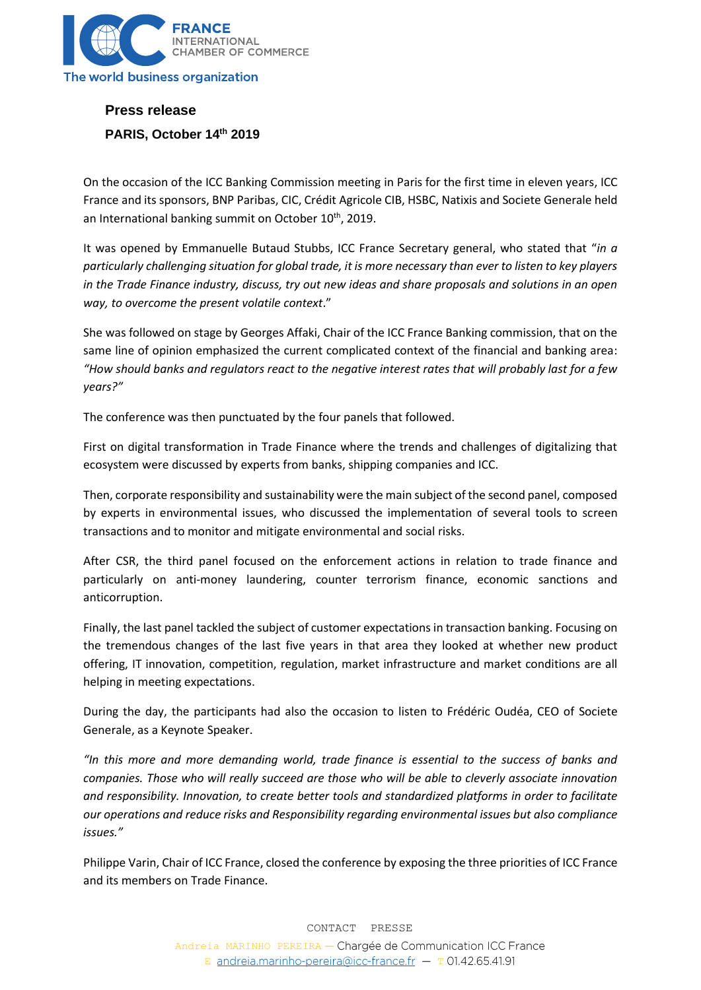

## **Press release PARIS, October 14 th 2019**

On the occasion of the ICC Banking Commission meeting in Paris for the first time in eleven years, ICC France and its sponsors, BNP Paribas, CIC, Crédit Agricole CIB, HSBC, Natixis and Societe Generale held an International banking summit on October 10<sup>th</sup>, 2019.

It was opened by Emmanuelle Butaud Stubbs, ICC France Secretary general, who stated that "*in a particularly challenging situation for global trade, it is more necessary than ever to listen to key players in the Trade Finance industry, discuss, try out new ideas and share proposals and solutions in an open way, to overcome the present volatile context*."

She was followed on stage by Georges Affaki, Chair of the ICC France Banking commission, that on the same line of opinion emphasized the current complicated context of the financial and banking area: *"How should banks and regulators react to the negative interest rates that will probably last for a few years?"*

The conference was then punctuated by the four panels that followed.

First on digital transformation in Trade Finance where the trends and challenges of digitalizing that ecosystem were discussed by experts from banks, shipping companies and ICC.

Then, corporate responsibility and sustainability were the main subject of the second panel, composed by experts in environmental issues, who discussed the implementation of several tools to screen transactions and to monitor and mitigate environmental and social risks.

After CSR, the third panel focused on the enforcement actions in relation to trade finance and particularly on anti-money laundering, counter terrorism finance, economic sanctions and anticorruption.

Finally, the last panel tackled the subject of customer expectations in transaction banking. Focusing on the tremendous changes of the last five years in that area they looked at whether new product offering, IT innovation, competition, regulation, market infrastructure and market conditions are all helping in meeting expectations.

During the day, the participants had also the occasion to listen to Frédéric Oudéa, CEO of Societe Generale, as a Keynote Speaker.

*"In this more and more demanding world, trade finance is essential to the success of banks and companies. Those who will really succeed are those who will be able to cleverly associate innovation and responsibility. Innovation, to create better tools and standardized platforms in order to facilitate our operations and reduce risks and Responsibility regarding environmental issues but also compliance issues."*

Philippe Varin, Chair of ICC France, closed the conference by exposing the three priorities of ICC France and its members on Trade Finance.

> CONTACT PRESSE Andreia MARINHO PEREIRA - Chargée de Communication ICC France E andreia.marinho-pereira@icc-france.fr -  $T$  01.42.65.41.91